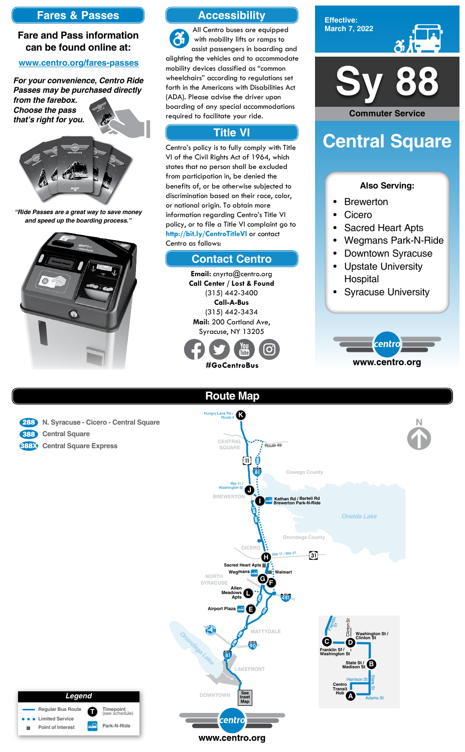

**Effective: March 7, 2022**



#### **Also Serving:**

- **Brewerton**
- **Cicero**
- Sacred Heart Apts
- Wegmans Park-N-Ride
- **Downtown Syracuse**
- Upstate University **Hospital**
- Syracuse University



# **Central Square**

**Commuter Service**





# **Accessibility**

# **Contact Centro**

# **Title VI**

All Centro buses are equipped with mobility lifts or ramps to assist passengers in boarding and alighting the vehicles and to accommodate mobility devices classified as "common wheelchairs" according to regulations set forth in the Americans with Disabilities Act (ADA). Please advise the driver upon boarding of any special accommodations required to facilitate your ride.

Centro's policy is to fully comply with Title VI of the Civil Rights Act of 1964, which states that no person shall be excluded from participation in, be denied the benefits of, or be otherwise subjected to discrimination based on their race, color, or national origin. To obtain more information regarding Centro's Title VI policy, or to file a Title VI complaint go to **http://bit.ly/CentroTitleVI** or contact Centro as follows:

> **Email:** cnyrta@centro.org **Call Center / Lost & Found** (315) 442-3400 **Call-A-Bus** (315) 442-3434 **Mail:** 200 Cortland Ave, Syracuse, NY 13205



## **Fares & Passes**

### **Fare and Pass information can be found online at:**

#### **www.centro.org/fares-passes**

*"Ride Passes are a great way to save money and speed up the boarding process."*



*For your convenience, Centro Ride Passes may be purchased directly from the farebox.*

*Choose the pass that's right for you.*